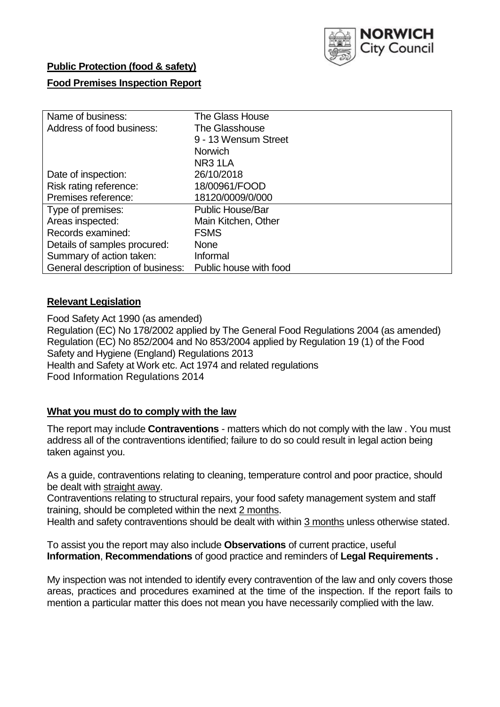

# **Public Protection (food & safety)**

# **Food Premises Inspection Report**

| Name of business:                | <b>The Glass House</b>  |  |  |  |  |  |
|----------------------------------|-------------------------|--|--|--|--|--|
| Address of food business:        | The Glasshouse          |  |  |  |  |  |
|                                  | 9 - 13 Wensum Street    |  |  |  |  |  |
|                                  | <b>Norwich</b>          |  |  |  |  |  |
|                                  | NR <sub>3</sub> 1LA     |  |  |  |  |  |
| Date of inspection:              | 26/10/2018              |  |  |  |  |  |
| Risk rating reference:           | 18/00961/FOOD           |  |  |  |  |  |
| Premises reference:              | 18120/0009/0/000        |  |  |  |  |  |
| Type of premises:                | <b>Public House/Bar</b> |  |  |  |  |  |
| Areas inspected:                 | Main Kitchen, Other     |  |  |  |  |  |
| Records examined:                | <b>FSMS</b>             |  |  |  |  |  |
| Details of samples procured:     | <b>None</b>             |  |  |  |  |  |
| Summary of action taken:         | Informal                |  |  |  |  |  |
| General description of business: | Public house with food  |  |  |  |  |  |

# **Relevant Legislation**

Food Safety Act 1990 (as amended) Regulation (EC) No 178/2002 applied by The General Food Regulations 2004 (as amended) Regulation (EC) No 852/2004 and No 853/2004 applied by Regulation 19 (1) of the Food Safety and Hygiene (England) Regulations 2013 Health and Safety at Work etc. Act 1974 and related regulations Food Information Regulations 2014

# **What you must do to comply with the law**

The report may include **Contraventions** - matters which do not comply with the law . You must address all of the contraventions identified; failure to do so could result in legal action being taken against you.

As a guide, contraventions relating to cleaning, temperature control and poor practice, should be dealt with straight away.

Contraventions relating to structural repairs, your food safety management system and staff training, should be completed within the next 2 months.

Health and safety contraventions should be dealt with within 3 months unless otherwise stated.

To assist you the report may also include **Observations** of current practice, useful **Information**, **Recommendations** of good practice and reminders of **Legal Requirements .**

My inspection was not intended to identify every contravention of the law and only covers those areas, practices and procedures examined at the time of the inspection. If the report fails to mention a particular matter this does not mean you have necessarily complied with the law.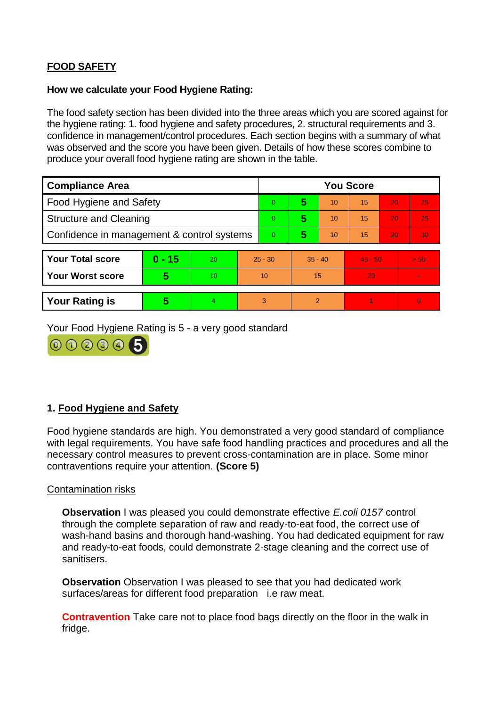# **FOOD SAFETY**

### **How we calculate your Food Hygiene Rating:**

The food safety section has been divided into the three areas which you are scored against for the hygiene rating: 1. food hygiene and safety procedures, 2. structural requirements and 3. confidence in management/control procedures. Each section begins with a summary of what was observed and the score you have been given. Details of how these scores combine to produce your overall food hygiene rating are shown in the table.

| <b>Compliance Area</b>                     |          |    |           | <b>You Score</b> |                |    |           |    |          |  |  |
|--------------------------------------------|----------|----|-----------|------------------|----------------|----|-----------|----|----------|--|--|
| Food Hygiene and Safety                    |          |    |           | $\Omega$         | 5              | 10 | 15        | 20 | 25       |  |  |
| <b>Structure and Cleaning</b>              |          |    | $\Omega$  | 5                | 10             | 15 | 20        | 25 |          |  |  |
| Confidence in management & control systems |          |    | $\Omega$  | 5                | 10             | 15 | 20        | 30 |          |  |  |
|                                            |          |    |           |                  |                |    |           |    |          |  |  |
| <b>Your Total score</b>                    | $0 - 15$ | 20 | $25 - 30$ |                  | $35 - 40$      |    | $45 - 50$ |    | > 50     |  |  |
| <b>Your Worst score</b>                    | 5        | 10 |           | 10               | 15             |    | 20        |    |          |  |  |
|                                            |          |    |           |                  |                |    |           |    |          |  |  |
| <b>Your Rating is</b>                      | 5        | 4  | 3         |                  | $\overline{2}$ |    |           |    | $\Omega$ |  |  |

Your Food Hygiene Rating is 5 - a very good standard



# **1. Food Hygiene and Safety**

Food hygiene standards are high. You demonstrated a very good standard of compliance with legal requirements. You have safe food handling practices and procedures and all the necessary control measures to prevent cross-contamination are in place. Some minor contraventions require your attention. **(Score 5)**

# Contamination risks

**Observation** I was pleased you could demonstrate effective *E.coli 0157* control through the complete separation of raw and ready-to-eat food, the correct use of wash-hand basins and thorough hand-washing. You had dedicated equipment for raw and ready-to-eat foods, could demonstrate 2-stage cleaning and the correct use of sanitisers.

**Observation** Observation I was pleased to see that you had dedicated work surfaces/areas for different food preparation i.e raw meat.

**Contravention** Take care not to place food bags directly on the floor in the walk in fridge.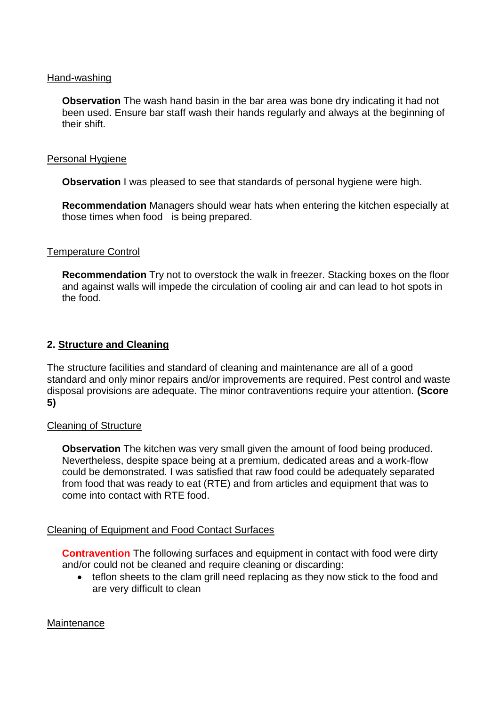#### Hand-washing

**Observation** The wash hand basin in the bar area was bone dry indicating it had not been used. Ensure bar staff wash their hands regularly and always at the beginning of their shift.

#### Personal Hygiene

**Observation** I was pleased to see that standards of personal hygiene were high.

**Recommendation** Managers should wear hats when entering the kitchen especially at those times when food is being prepared.

#### Temperature Control

**Recommendation** Try not to overstock the walk in freezer. Stacking boxes on the floor and against walls will impede the circulation of cooling air and can lead to hot spots in the food.

#### **2. Structure and Cleaning**

The structure facilities and standard of cleaning and maintenance are all of a good standard and only minor repairs and/or improvements are required. Pest control and waste disposal provisions are adequate. The minor contraventions require your attention. **(Score 5)**

#### Cleaning of Structure

**Observation** The kitchen was very small given the amount of food being produced. Nevertheless, despite space being at a premium, dedicated areas and a work-flow could be demonstrated. I was satisfied that raw food could be adequately separated from food that was ready to eat (RTE) and from articles and equipment that was to come into contact with RTE food.

# Cleaning of Equipment and Food Contact Surfaces

**Contravention** The following surfaces and equipment in contact with food were dirty and/or could not be cleaned and require cleaning or discarding:

• teflon sheets to the clam grill need replacing as they now stick to the food and are very difficult to clean

#### **Maintenance**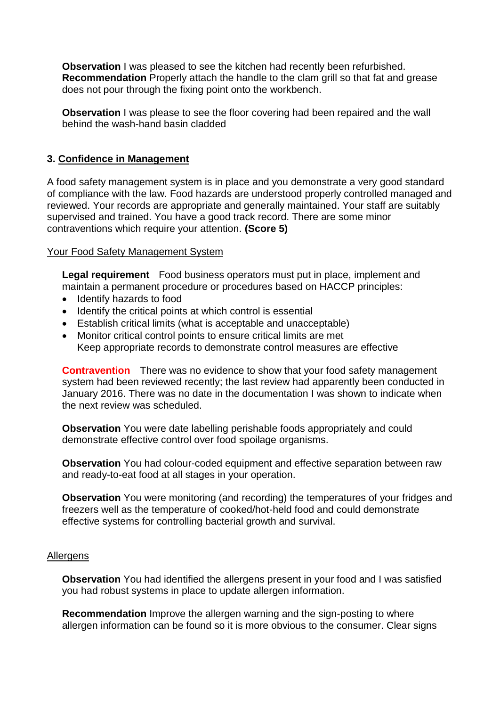**Observation** I was pleased to see the kitchen had recently been refurbished. **Recommendation** Properly attach the handle to the clam grill so that fat and grease does not pour through the fixing point onto the workbench.

**Observation** I was please to see the floor covering had been repaired and the wall behind the wash-hand basin cladded

# **3. Confidence in Management**

A food safety management system is in place and you demonstrate a very good standard of compliance with the law. Food hazards are understood properly controlled managed and reviewed. Your records are appropriate and generally maintained. Your staff are suitably supervised and trained. You have a good track record. There are some minor contraventions which require your attention. **(Score 5)**

# Your Food Safety Management System

**Legal requirement** Food business operators must put in place, implement and maintain a permanent procedure or procedures based on HACCP principles:

- Identify hazards to food
- Identify the critical points at which control is essential
- Establish critical limits (what is acceptable and unacceptable)
- Monitor critical control points to ensure critical limits are met Keep appropriate records to demonstrate control measures are effective

**Contravention** There was no evidence to show that your food safety management system had been reviewed recently; the last review had apparently been conducted in January 2016. There was no date in the documentation I was shown to indicate when the next review was scheduled.

**Observation** You were date labelling perishable foods appropriately and could demonstrate effective control over food spoilage organisms.

**Observation** You had colour-coded equipment and effective separation between raw and ready-to-eat food at all stages in your operation.

**Observation** You were monitoring (and recording) the temperatures of your fridges and freezers well as the temperature of cooked/hot-held food and could demonstrate effective systems for controlling bacterial growth and survival.

# **Allergens**

**Observation** You had identified the allergens present in your food and I was satisfied you had robust systems in place to update allergen information.

**Recommendation** Improve the allergen warning and the sign-posting to where allergen information can be found so it is more obvious to the consumer. Clear signs